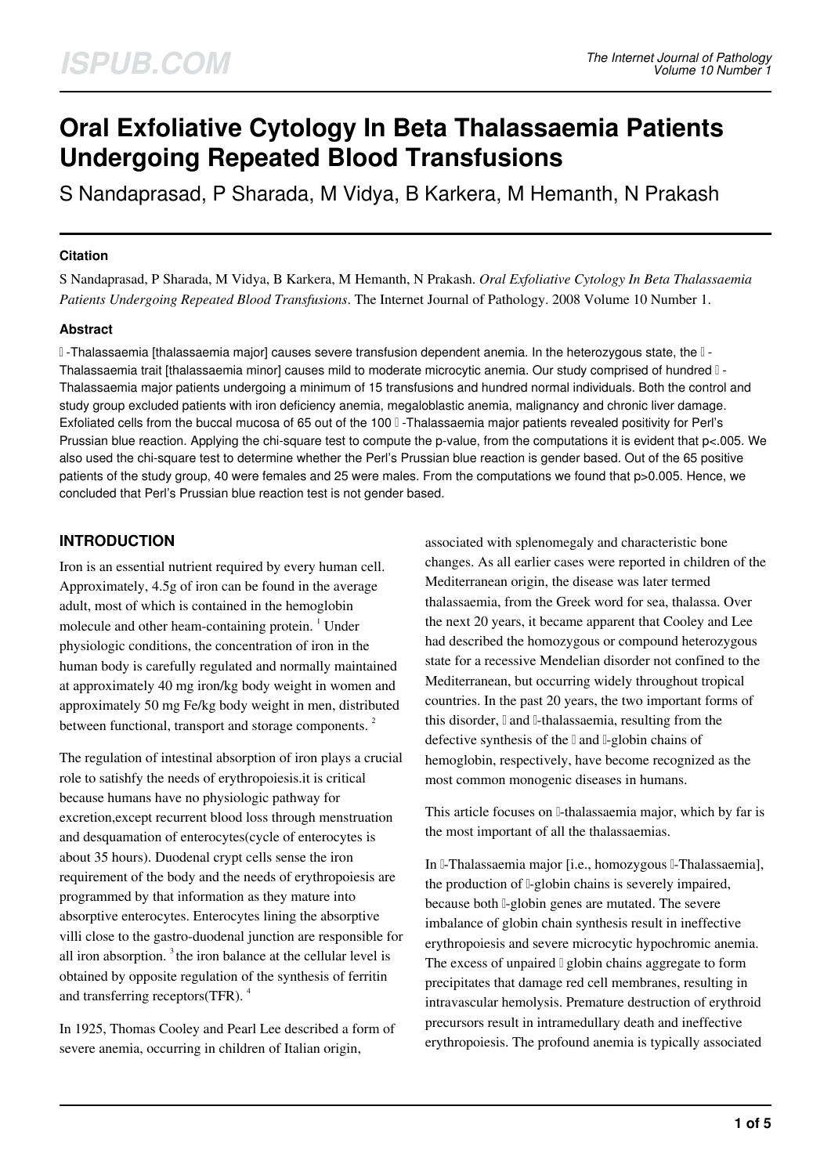# **Oral Exfoliative Cytology In Beta Thalassaemia Patients Undergoing Repeated Blood Transfusions**

S Nandaprasad, P Sharada, M Vidya, B Karkera, M Hemanth, N Prakash

# **Citation**

S Nandaprasad, P Sharada, M Vidya, B Karkera, M Hemanth, N Prakash. *Oral Exfoliative Cytology In Beta Thalassaemia Patients Undergoing Repeated Blood Transfusions*. The Internet Journal of Pathology. 2008 Volume 10 Number 1.

# **Abstract**

β -Thalassaemia [thalassaemia major] causes severe transfusion dependent anemia. In the heterozygous state, the β - Thalassaemia trait [thalassaemia minor] causes mild to moderate microcytic anemia. Our study comprised of hundred β - Thalassaemia major patients undergoing a minimum of 15 transfusions and hundred normal individuals. Both the control and study group excluded patients with iron deficiency anemia, megaloblastic anemia, malignancy and chronic liver damage. Exfoliated cells from the buccal mucosa of 65 out of the 100 β -Thalassaemia major patients revealed positivity for Perl's Prussian blue reaction. Applying the chi-square test to compute the p-value, from the computations it is evident that p<.005. We also used the chi-square test to determine whether the Perl's Prussian blue reaction is gender based. Out of the 65 positive patients of the study group, 40 were females and 25 were males. From the computations we found that p>0.005. Hence, we concluded that Perl's Prussian blue reaction test is not gender based.

# **INTRODUCTION**

Iron is an essential nutrient required by every human cell. Approximately, 4.5g of iron can be found in the average adult, most of which is contained in the hemoglobin molecule and other heam-containing protein.<sup>1</sup> Under physiologic conditions, the concentration of iron in the human body is carefully regulated and normally maintained at approximately 40 mg iron/kg body weight in women and approximately 50 mg Fe/kg body weight in men, distributed between functional, transport and storage components.<sup>2</sup>

The regulation of intestinal absorption of iron plays a crucial role to satishfy the needs of erythropoiesis.it is critical because humans have no physiologic pathway for excretion,except recurrent blood loss through menstruation and desquamation of enterocytes(cycle of enterocytes is about 35 hours). Duodenal crypt cells sense the iron requirement of the body and the needs of erythropoiesis are programmed by that information as they mature into absorptive enterocytes. Enterocytes lining the absorptive villi close to the gastro-duodenal junction are responsible for all iron absorption.  $3$  the iron balance at the cellular level is obtained by opposite regulation of the synthesis of ferritin and transferring receptors(TFR). <sup>4</sup>

In 1925, Thomas Cooley and Pearl Lee described a form of severe anemia, occurring in children of Italian origin,

associated with splenomegaly and characteristic bone changes. As all earlier cases were reported in children of the Mediterranean origin, the disease was later termed thalassaemia, from the Greek word for sea, thalassa. Over the next 20 years, it became apparent that Cooley and Lee had described the homozygous or compound heterozygous state for a recessive Mendelian disorder not confined to the Mediterranean, but occurring widely throughout tropical countries. In the past 20 years, the two important forms of this disorder,  $\mathbb I$  and  $\mathbb I$ -thalassaemia, resulting from the defective synthesis of the l and l-globin chains of hemoglobin, respectively, have become recognized as the most common monogenic diseases in humans.

This article focuses on β-thalassaemia major, which by far is the most important of all the thalassaemias.

In β-Thalassaemia major [i.e., homozygous β-Thalassaemia], the production of *⊩globin chains is severely impaired*, because both l-globin genes are mutated. The severe imbalance of globin chain synthesis result in ineffective erythropoiesis and severe microcytic hypochromic anemia. The excess of unpaired  $\mathbb I$  globin chains aggregate to form precipitates that damage red cell membranes, resulting in intravascular hemolysis. Premature destruction of erythroid precursors result in intramedullary death and ineffective erythropoiesis. The profound anemia is typically associated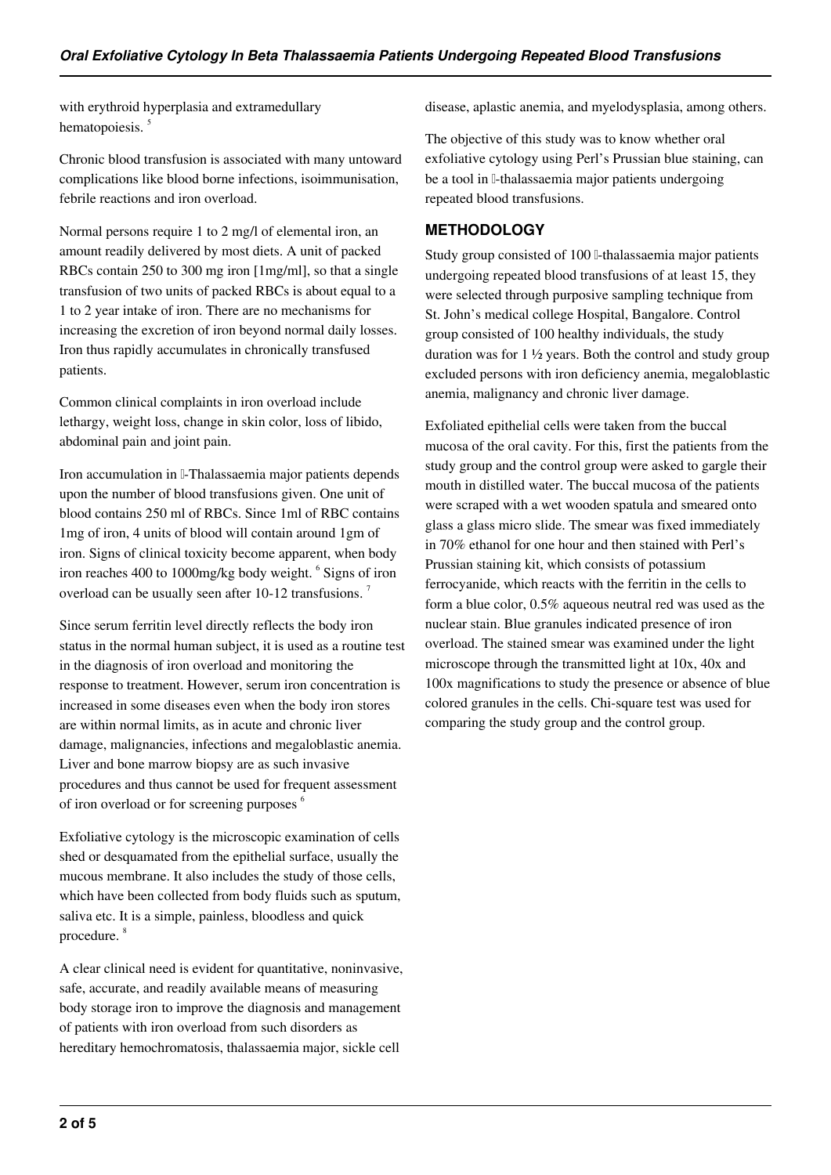with erythroid hyperplasia and extramedullary hematopoiesis.<sup>5</sup>

Chronic blood transfusion is associated with many untoward complications like blood borne infections, isoimmunisation, febrile reactions and iron overload.

Normal persons require 1 to 2 mg/l of elemental iron, an amount readily delivered by most diets. A unit of packed RBCs contain 250 to 300 mg iron [1mg/ml], so that a single transfusion of two units of packed RBCs is about equal to a 1 to 2 year intake of iron. There are no mechanisms for increasing the excretion of iron beyond normal daily losses. Iron thus rapidly accumulates in chronically transfused patients.

Common clinical complaints in iron overload include lethargy, weight loss, change in skin color, loss of libido, abdominal pain and joint pain.

Iron accumulation in β-Thalassaemia major patients depends upon the number of blood transfusions given. One unit of blood contains 250 ml of RBCs. Since 1ml of RBC contains 1mg of iron, 4 units of blood will contain around 1gm of iron. Signs of clinical toxicity become apparent, when body iron reaches 400 to 1000mg/kg body weight. <sup>6</sup> Signs of iron overload can be usually seen after 10-12 transfusions.<sup>7</sup>

Since serum ferritin level directly reflects the body iron status in the normal human subject, it is used as a routine test in the diagnosis of iron overload and monitoring the response to treatment. However, serum iron concentration is increased in some diseases even when the body iron stores are within normal limits, as in acute and chronic liver damage, malignancies, infections and megaloblastic anemia. Liver and bone marrow biopsy are as such invasive procedures and thus cannot be used for frequent assessment of iron overload or for screening purposes <sup>6</sup>

Exfoliative cytology is the microscopic examination of cells shed or desquamated from the epithelial surface, usually the mucous membrane. It also includes the study of those cells, which have been collected from body fluids such as sputum, saliva etc. It is a simple, painless, bloodless and quick procedure. <sup>8</sup>

A clear clinical need is evident for quantitative, noninvasive, safe, accurate, and readily available means of measuring body storage iron to improve the diagnosis and management of patients with iron overload from such disorders as hereditary hemochromatosis, thalassaemia major, sickle cell

disease, aplastic anemia, and myelodysplasia, among others.

The objective of this study was to know whether oral exfoliative cytology using Perl's Prussian blue staining, can be a tool in <sub>β</sub>-thalassaemia major patients undergoing repeated blood transfusions.

# **METHODOLOGY**

Study group consisted of 100 β-thalassaemia major patients undergoing repeated blood transfusions of at least 15, they were selected through purposive sampling technique from St. John's medical college Hospital, Bangalore. Control group consisted of 100 healthy individuals, the study duration was for 1 ½ years. Both the control and study group excluded persons with iron deficiency anemia, megaloblastic anemia, malignancy and chronic liver damage.

Exfoliated epithelial cells were taken from the buccal mucosa of the oral cavity. For this, first the patients from the study group and the control group were asked to gargle their mouth in distilled water. The buccal mucosa of the patients were scraped with a wet wooden spatula and smeared onto glass a glass micro slide. The smear was fixed immediately in 70% ethanol for one hour and then stained with Perl's Prussian staining kit, which consists of potassium ferrocyanide, which reacts with the ferritin in the cells to form a blue color, 0.5% aqueous neutral red was used as the nuclear stain. Blue granules indicated presence of iron overload. The stained smear was examined under the light microscope through the transmitted light at 10x, 40x and 100x magnifications to study the presence or absence of blue colored granules in the cells. Chi-square test was used for comparing the study group and the control group.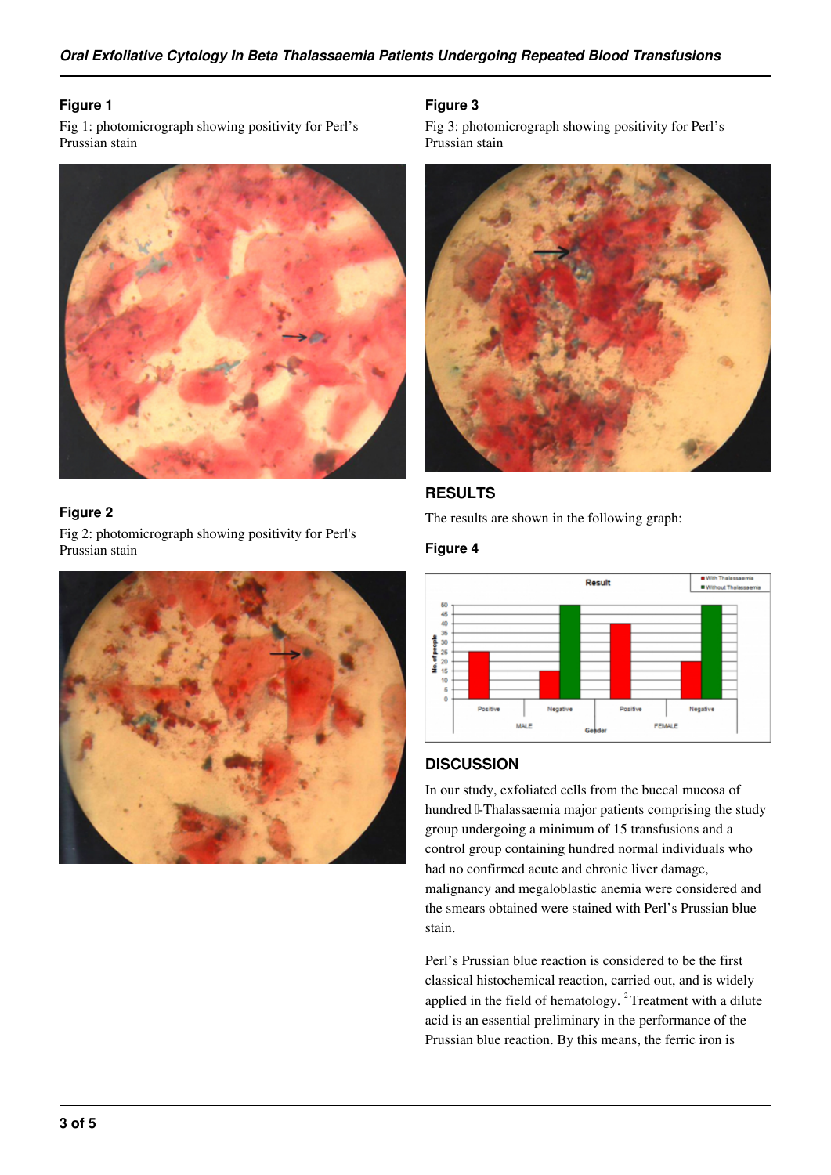## **Figure 1**

Fig 1: photomicrograph showing positivity for Perl's Prussian stain



# **Figure 2**

Fig 2: photomicrograph showing positivity for Perl's Prussian stain



## **Figure 3**

Fig 3: photomicrograph showing positivity for Perl's Prussian stain



# **RESULTS**

The results are shown in the following graph:

#### **Figure 4**



#### **DISCUSSION**

In our study, exfoliated cells from the buccal mucosa of hundred β-Thalassaemia major patients comprising the study group undergoing a minimum of 15 transfusions and a control group containing hundred normal individuals who had no confirmed acute and chronic liver damage, malignancy and megaloblastic anemia were considered and the smears obtained were stained with Perl's Prussian blue stain.

Perl's Prussian blue reaction is considered to be the first classical histochemical reaction, carried out, and is widely applied in the field of hematology.<sup>2</sup> Treatment with a dilute acid is an essential preliminary in the performance of the Prussian blue reaction. By this means, the ferric iron is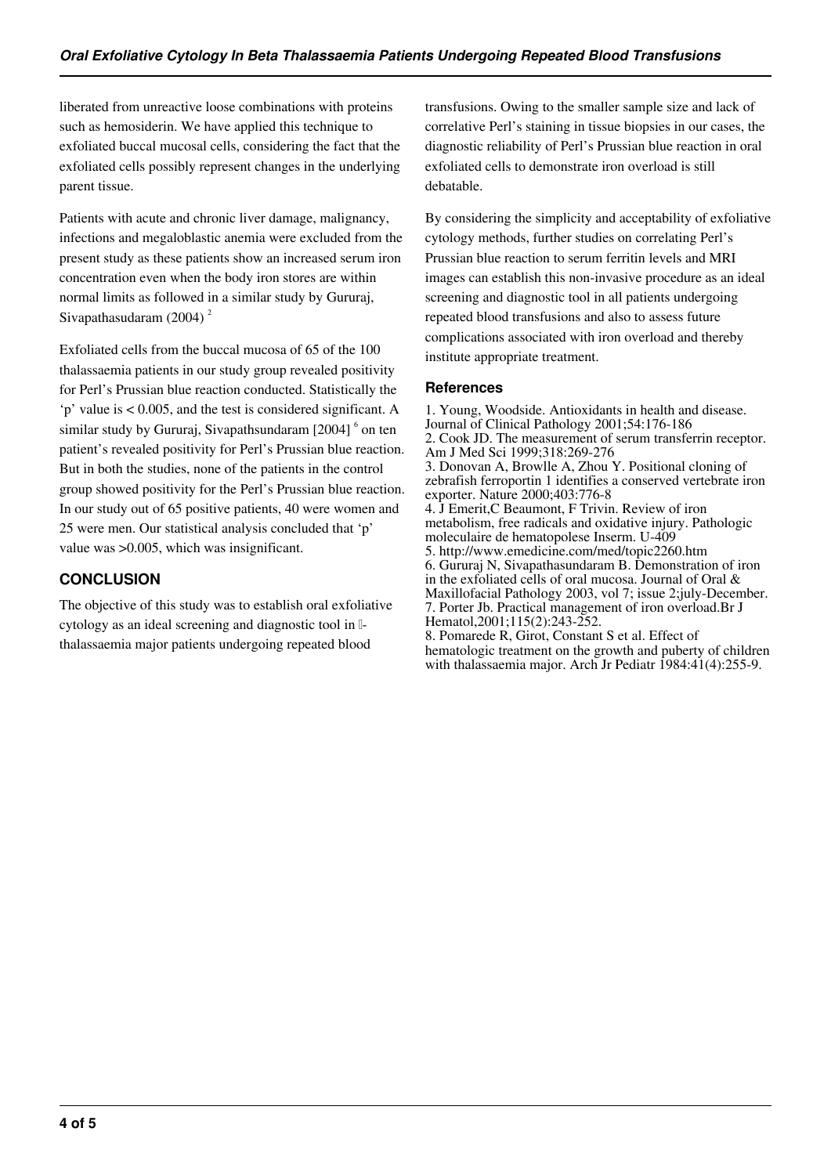liberated from unreactive loose combinations with proteins such as hemosiderin. We have applied this technique to exfoliated buccal mucosal cells, considering the fact that the exfoliated cells possibly represent changes in the underlying parent tissue.

Patients with acute and chronic liver damage, malignancy, infections and megaloblastic anemia were excluded from the present study as these patients show an increased serum iron concentration even when the body iron stores are within normal limits as followed in a similar study by Gururaj, Sivapathasudaram  $(2004)^2$ 

Exfoliated cells from the buccal mucosa of 65 of the 100 thalassaemia patients in our study group revealed positivity for Perl's Prussian blue reaction conducted. Statistically the 'p' value is < 0.005, and the test is considered significant. A similar study by Gururaj, Sivapathsundaram [2004] <sup>6</sup> on ten patient's revealed positivity for Perl's Prussian blue reaction. But in both the studies, none of the patients in the control group showed positivity for the Perl's Prussian blue reaction. In our study out of 65 positive patients, 40 were women and 25 were men. Our statistical analysis concluded that 'p' value was >0.005, which was insignificant.

# **CONCLUSION**

The objective of this study was to establish oral exfoliative cytology as an ideal screening and diagnostic tool in <sup>[]-</sup> thalassaemia major patients undergoing repeated blood

transfusions. Owing to the smaller sample size and lack of correlative Perl's staining in tissue biopsies in our cases, the diagnostic reliability of Perl's Prussian blue reaction in oral exfoliated cells to demonstrate iron overload is still debatable.

By considering the simplicity and acceptability of exfoliative cytology methods, further studies on correlating Perl's Prussian blue reaction to serum ferritin levels and MRI images can establish this non-invasive procedure as an ideal screening and diagnostic tool in all patients undergoing repeated blood transfusions and also to assess future complications associated with iron overload and thereby institute appropriate treatment.

# **References**

1. Young, Woodside. Antioxidants in health and disease. Journal of Clinical Pathology 2001;54:176-186 2. Cook JD. The measurement of serum transferrin receptor. Am J Med Sci 1999;318:269-276 3. Donovan A, Browlle A, Zhou Y. Positional cloning of zebrafish ferroportin 1 identifies a conserved vertebrate iron exporter. Nature 2000;403:776-8 4. J Emerit,C Beaumont, F Trivin. Review of iron metabolism, free radicals and oxidative injury. Pathologic moleculaire de hematopolese Inserm. U-409 5. http://www.emedicine.com/med/topic2260.htm 6. Gururaj N, Sivapathasundaram B. Demonstration of iron in the exfoliated cells of oral mucosa. Journal of Oral & Maxillofacial Pathology 2003, vol 7; issue 2;july-December. 7. Porter Jb. Practical management of iron overload.Br J Hematol, 2001; 115(2): 243-252. 8. Pomarede R, Girot, Constant S et al. Effect of

hematologic treatment on the growth and puberty of children with thalassaemia major. Arch Jr Pediatr 1984:41(4):255-9.